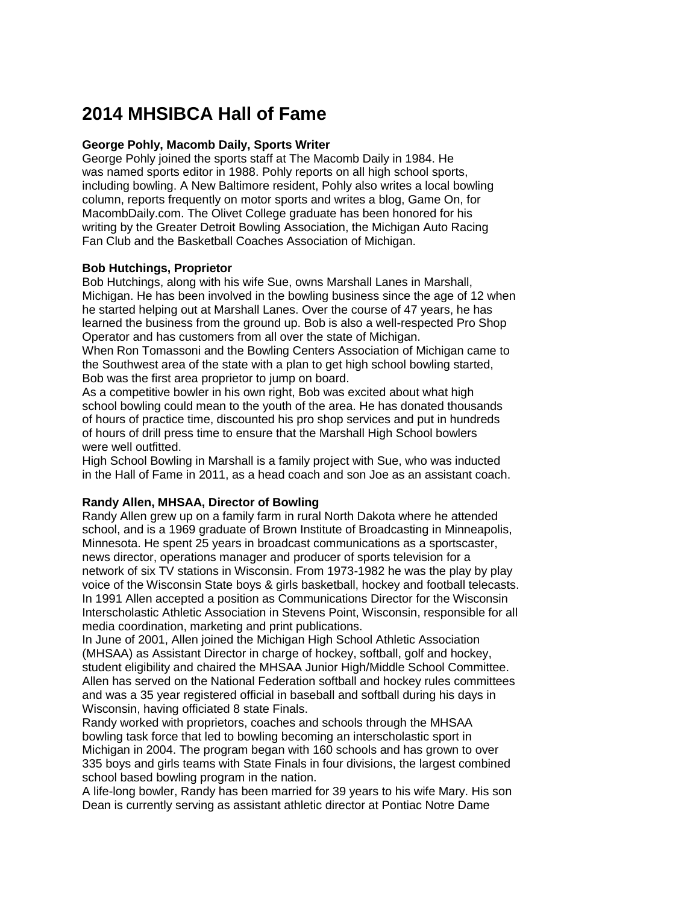# **2014 MHSIBCA Hall of Fame**

## **George Pohly, Macomb Daily, Sports Writer**

George Pohly joined the sports staff at The Macomb Daily in 1984. He was named sports editor in 1988. Pohly reports on all high school sports, including bowling. A New Baltimore resident, Pohly also writes a local bowling column, reports frequently on motor sports and writes a blog, Game On, for MacombDaily.com. The Olivet College graduate has been honored for his writing by the Greater Detroit Bowling Association, the Michigan Auto Racing Fan Club and the Basketball Coaches Association of Michigan.

## **Bob Hutchings, Proprietor**

Bob Hutchings, along with his wife Sue, owns Marshall Lanes in Marshall, Michigan. He has been involved in the bowling business since the age of 12 when he started helping out at Marshall Lanes. Over the course of 47 years, he has learned the business from the ground up. Bob is also a well-respected Pro Shop Operator and has customers from all over the state of Michigan. When Ron Tomassoni and the Bowling Centers Association of Michigan came to the Southwest area of the state with a plan to get high school bowling started,

Bob was the first area proprietor to jump on board.

As a competitive bowler in his own right, Bob was excited about what high school bowling could mean to the youth of the area. He has donated thousands of hours of practice time, discounted his pro shop services and put in hundreds of hours of drill press time to ensure that the Marshall High School bowlers were well outfitted.

High School Bowling in Marshall is a family project with Sue, who was inducted in the Hall of Fame in 2011, as a head coach and son Joe as an assistant coach.

## **Randy Allen, MHSAA, Director of Bowling**

Randy Allen grew up on a family farm in rural North Dakota where he attended school, and is a 1969 graduate of Brown Institute of Broadcasting in Minneapolis, Minnesota. He spent 25 years in broadcast communications as a sportscaster, news director, operations manager and producer of sports television for a network of six TV stations in Wisconsin. From 1973-1982 he was the play by play voice of the Wisconsin State boys & girls basketball, hockey and football telecasts. In 1991 Allen accepted a position as Communications Director for the Wisconsin Interscholastic Athletic Association in Stevens Point, Wisconsin, responsible for all media coordination, marketing and print publications.

In June of 2001, Allen joined the Michigan High School Athletic Association (MHSAA) as Assistant Director in charge of hockey, softball, golf and hockey, student eligibility and chaired the MHSAA Junior High/Middle School Committee. Allen has served on the National Federation softball and hockey rules committees and was a 35 year registered official in baseball and softball during his days in Wisconsin, having officiated 8 state Finals.

Randy worked with proprietors, coaches and schools through the MHSAA bowling task force that led to bowling becoming an interscholastic sport in Michigan in 2004. The program began with 160 schools and has grown to over 335 boys and girls teams with State Finals in four divisions, the largest combined school based bowling program in the nation.

A life-long bowler, Randy has been married for 39 years to his wife Mary. His son Dean is currently serving as assistant athletic director at Pontiac Notre Dame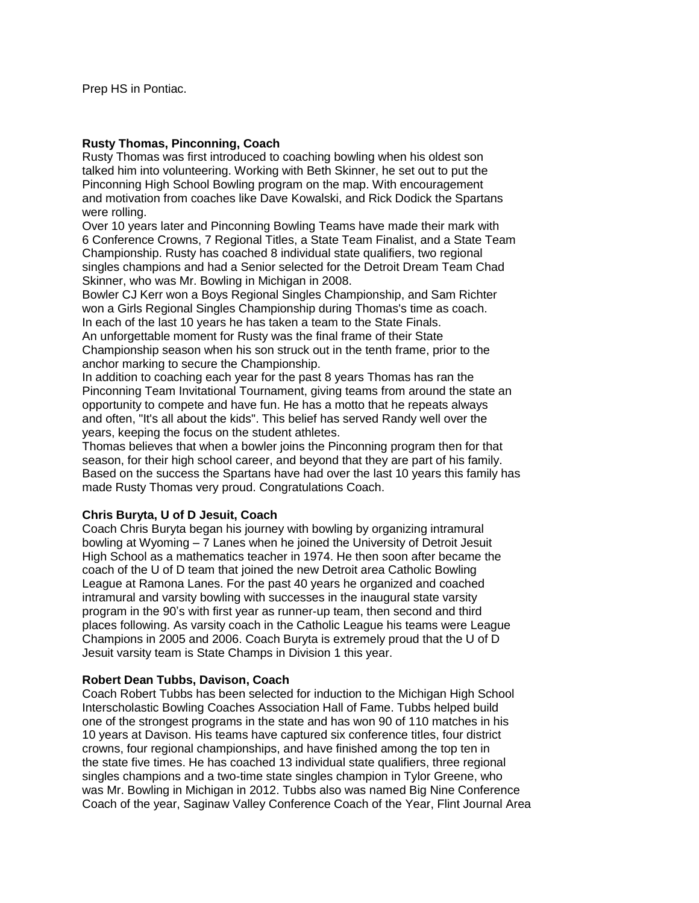## **Rusty Thomas, Pinconning, Coach**

Rusty Thomas was first introduced to coaching bowling when his oldest son talked him into volunteering. Working with Beth Skinner, he set out to put the Pinconning High School Bowling program on the map. With encouragement and motivation from coaches like Dave Kowalski, and Rick Dodick the Spartans were rolling.

Over 10 years later and Pinconning Bowling Teams have made their mark with 6 Conference Crowns, 7 Regional Titles, a State Team Finalist, and a State Team Championship. Rusty has coached 8 individual state qualifiers, two regional singles champions and had a Senior selected for the Detroit Dream Team Chad Skinner, who was Mr. Bowling in Michigan in 2008.

Bowler CJ Kerr won a Boys Regional Singles Championship, and Sam Richter won a Girls Regional Singles Championship during Thomas's time as coach. In each of the last 10 years he has taken a team to the State Finals. An unforgettable moment for Rusty was the final frame of their State Championship season when his son struck out in the tenth frame, prior to the anchor marking to secure the Championship.

In addition to coaching each year for the past 8 years Thomas has ran the Pinconning Team Invitational Tournament, giving teams from around the state an opportunity to compete and have fun. He has a motto that he repeats always and often, "It's all about the kids". This belief has served Randy well over the years, keeping the focus on the student athletes.

Thomas believes that when a bowler joins the Pinconning program then for that season, for their high school career, and beyond that they are part of his family. Based on the success the Spartans have had over the last 10 years this family has made Rusty Thomas very proud. Congratulations Coach.

# **Chris Buryta, U of D Jesuit, Coach**

Coach Chris Buryta began his journey with bowling by organizing intramural bowling at Wyoming – 7 Lanes when he joined the University of Detroit Jesuit High School as a mathematics teacher in 1974. He then soon after became the coach of the U of D team that joined the new Detroit area Catholic Bowling League at Ramona Lanes. For the past 40 years he organized and coached intramural and varsity bowling with successes in the inaugural state varsity program in the 90's with first year as runner-up team, then second and third places following. As varsity coach in the Catholic League his teams were League Champions in 2005 and 2006. Coach Buryta is extremely proud that the U of D Jesuit varsity team is State Champs in Division 1 this year.

## **Robert Dean Tubbs, Davison, Coach**

Coach Robert Tubbs has been selected for induction to the Michigan High School Interscholastic Bowling Coaches Association Hall of Fame. Tubbs helped build one of the strongest programs in the state and has won 90 of 110 matches in his 10 years at Davison. His teams have captured six conference titles, four district crowns, four regional championships, and have finished among the top ten in the state five times. He has coached 13 individual state qualifiers, three regional singles champions and a two-time state singles champion in Tylor Greene, who was Mr. Bowling in Michigan in 2012. Tubbs also was named Big Nine Conference Coach of the year, Saginaw Valley Conference Coach of the Year, Flint Journal Area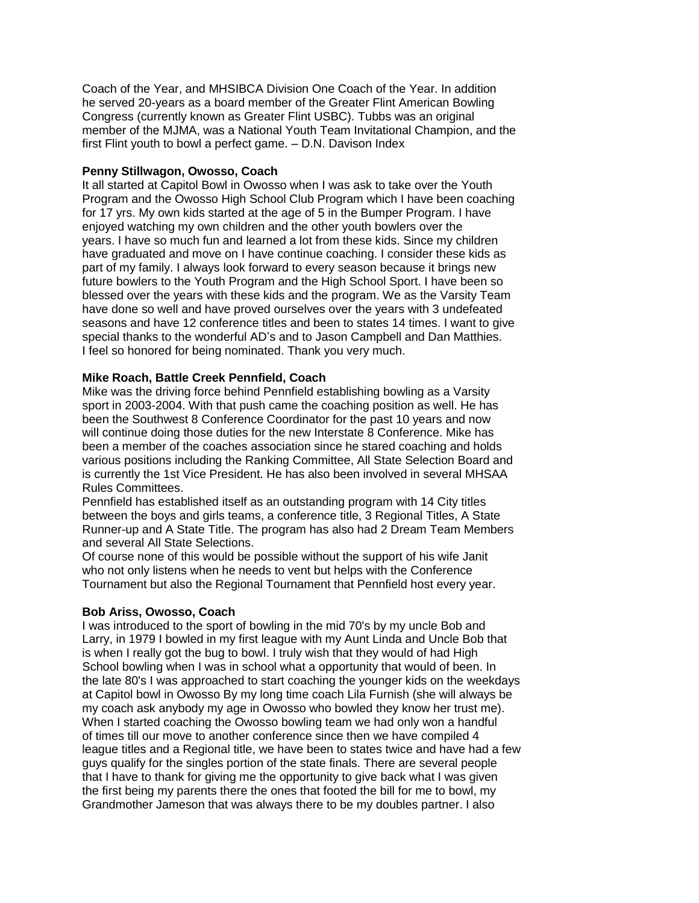Coach of the Year, and MHSIBCA Division One Coach of the Year. In addition he served 20-years as a board member of the Greater Flint American Bowling Congress (currently known as Greater Flint USBC). Tubbs was an original member of the MJMA, was a National Youth Team Invitational Champion, and the first Flint youth to bowl a perfect game. – D.N. Davison Index

### **Penny Stillwagon, Owosso, Coach**

It all started at Capitol Bowl in Owosso when I was ask to take over the Youth Program and the Owosso High School Club Program which I have been coaching for 17 yrs. My own kids started at the age of 5 in the Bumper Program. I have enjoyed watching my own children and the other youth bowlers over the years. I have so much fun and learned a lot from these kids. Since my children have graduated and move on I have continue coaching. I consider these kids as part of my family. I always look forward to every season because it brings new future bowlers to the Youth Program and the High School Sport. I have been so blessed over the years with these kids and the program. We as the Varsity Team have done so well and have proved ourselves over the years with 3 undefeated seasons and have 12 conference titles and been to states 14 times. I want to give special thanks to the wonderful AD's and to Jason Campbell and Dan Matthies. I feel so honored for being nominated. Thank you very much.

### **Mike Roach, Battle Creek Pennfield, Coach**

Mike was the driving force behind Pennfield establishing bowling as a Varsity sport in 2003-2004. With that push came the coaching position as well. He has been the Southwest 8 Conference Coordinator for the past 10 years and now will continue doing those duties for the new Interstate 8 Conference. Mike has been a member of the coaches association since he stared coaching and holds various positions including the Ranking Committee, All State Selection Board and is currently the 1st Vice President. He has also been involved in several MHSAA Rules Committees.

Pennfield has established itself as an outstanding program with 14 City titles between the boys and girls teams, a conference title, 3 Regional Titles, A State Runner-up and A State Title. The program has also had 2 Dream Team Members and several All State Selections.

Of course none of this would be possible without the support of his wife Janit who not only listens when he needs to vent but helps with the Conference Tournament but also the Regional Tournament that Pennfield host every year.

## **Bob Ariss, Owosso, Coach**

I was introduced to the sport of bowling in the mid 70's by my uncle Bob and Larry, in 1979 I bowled in my first league with my Aunt Linda and Uncle Bob that is when I really got the bug to bowl. I truly wish that they would of had High School bowling when I was in school what a opportunity that would of been. In the late 80's I was approached to start coaching the younger kids on the weekdays at Capitol bowl in Owosso By my long time coach Lila Furnish (she will always be my coach ask anybody my age in Owosso who bowled they know her trust me). When I started coaching the Owosso bowling team we had only won a handful of times till our move to another conference since then we have compiled 4 league titles and a Regional title, we have been to states twice and have had a few guys qualify for the singles portion of the state finals. There are several people that I have to thank for giving me the opportunity to give back what I was given the first being my parents there the ones that footed the bill for me to bowl, my Grandmother Jameson that was always there to be my doubles partner. I also